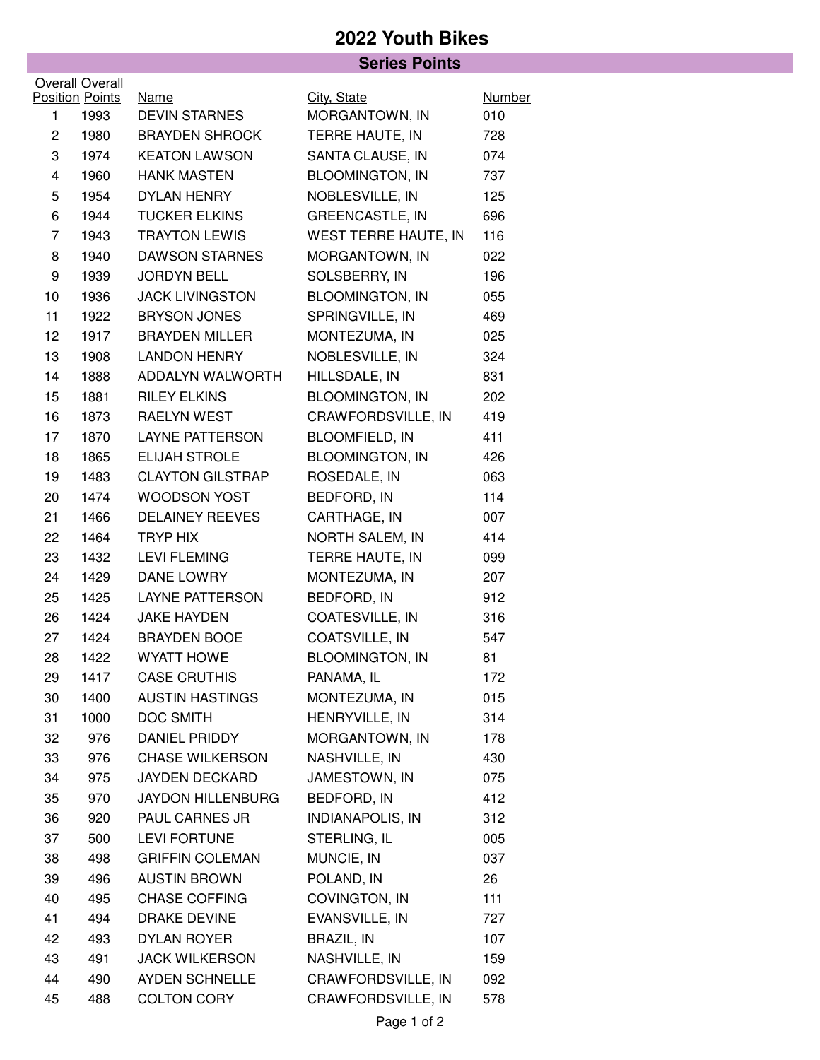## **2022 Youth Bikes**

|                |                        | <b>Series Points</b>     |                             |               |  |
|----------------|------------------------|--------------------------|-----------------------------|---------------|--|
|                | Overall Overall        |                          |                             |               |  |
|                | <b>Position Points</b> | <b>Name</b>              | City, State                 | <b>Number</b> |  |
| 1              | 1993                   | <b>DEVIN STARNES</b>     | MORGANTOWN, IN              | 010           |  |
| $\overline{2}$ | 1980                   | <b>BRAYDEN SHROCK</b>    | TERRE HAUTE, IN             | 728           |  |
| 3              | 1974                   | <b>KEATON LAWSON</b>     | SANTA CLAUSE, IN            | 074           |  |
| 4              | 1960                   | <b>HANK MASTEN</b>       | <b>BLOOMINGTON, IN</b>      | 737           |  |
| 5              | 1954                   | DYLAN HENRY              | NOBLESVILLE, IN             | 125           |  |
| 6              | 1944                   | <b>TUCKER ELKINS</b>     | <b>GREENCASTLE, IN</b>      | 696           |  |
| $\overline{7}$ | 1943                   | <b>TRAYTON LEWIS</b>     | <b>WEST TERRE HAUTE, IN</b> | 116           |  |
| 8              | 1940                   | <b>DAWSON STARNES</b>    | MORGANTOWN, IN              | 022           |  |
| 9              | 1939                   | <b>JORDYN BELL</b>       | SOLSBERRY, IN               | 196           |  |
| 10             | 1936                   | <b>JACK LIVINGSTON</b>   | <b>BLOOMINGTON, IN</b>      | 055           |  |
| 11             | 1922                   | <b>BRYSON JONES</b>      | SPRINGVILLE, IN             | 469           |  |
| 12             | 1917                   | <b>BRAYDEN MILLER</b>    | MONTEZUMA, IN               | 025           |  |
| 13             | 1908                   | <b>LANDON HENRY</b>      | NOBLESVILLE, IN             | 324           |  |
| 14             | 1888                   | ADDALYN WALWORTH         | HILLSDALE, IN               | 831           |  |
| 15             | 1881                   | <b>RILEY ELKINS</b>      | <b>BLOOMINGTON, IN</b>      | 202           |  |
| 16             | 1873                   | RAELYN WEST              | <b>CRAWFORDSVILLE, IN</b>   | 419           |  |
| 17             | 1870                   | LAYNE PATTERSON          | <b>BLOOMFIELD, IN</b>       | 411           |  |
| 18             | 1865                   | <b>ELIJAH STROLE</b>     | <b>BLOOMINGTON, IN</b>      | 426           |  |
| 19             | 1483                   | <b>CLAYTON GILSTRAP</b>  | ROSEDALE, IN                | 063           |  |
| 20             | 1474                   | WOODSON YOST             | BEDFORD, IN                 | 114           |  |
| 21             | 1466                   | <b>DELAINEY REEVES</b>   | CARTHAGE, IN                | 007           |  |
| 22             | 1464                   | TRYP HIX                 | NORTH SALEM, IN             | 414           |  |
| 23             | 1432                   | <b>LEVI FLEMING</b>      | TERRE HAUTE, IN             | 099           |  |
| 24             | 1429                   | DANE LOWRY               | MONTEZUMA, IN               | 207           |  |
| 25             | 1425                   | <b>LAYNE PATTERSON</b>   | BEDFORD, IN                 | 912           |  |
| 26             | 1424                   | <b>JAKE HAYDEN</b>       | COATESVILLE, IN             | 316           |  |
| 27             | 1424                   | <b>BRAYDEN BOOE</b>      | COATSVILLE, IN              | 547           |  |
| 28             | 1422                   | WYATT HOWE               | <b>BLOOMINGTON, IN</b>      | 81            |  |
| 29             | 1417                   | <b>CASE CRUTHIS</b>      | PANAMA, IL                  | 172           |  |
| 30             | 1400                   | <b>AUSTIN HASTINGS</b>   | MONTEZUMA, IN               | 015           |  |
| 31             | 1000                   | DOC SMITH                | HENRYVILLE, IN              | 314           |  |
| 32             | 976                    | <b>DANIEL PRIDDY</b>     | MORGANTOWN, IN              | 178           |  |
| 33             | 976                    | <b>CHASE WILKERSON</b>   | NASHVILLE, IN               | 430           |  |
| 34             | 975                    | JAYDEN DECKARD           | JAMESTOWN, IN               | 075           |  |
| 35             | 970                    | <b>JAYDON HILLENBURG</b> | BEDFORD, IN                 | 412           |  |
| 36             | 920                    | PAUL CARNES JR           | <b>INDIANAPOLIS, IN</b>     | 312           |  |
| 37             | 500                    | <b>LEVI FORTUNE</b>      | STERLING, IL                | 005           |  |
| 38             | 498                    | <b>GRIFFIN COLEMAN</b>   | MUNCIE, IN                  | 037           |  |
| 39             | 496                    | <b>AUSTIN BROWN</b>      | POLAND, IN                  | 26            |  |
| 40             | 495                    | <b>CHASE COFFING</b>     | COVINGTON, IN               | 111           |  |
| 41             | 494                    | <b>DRAKE DEVINE</b>      | EVANSVILLE, IN              | 727           |  |
| 42             | 493                    | DYLAN ROYER              | BRAZIL, IN                  | 107           |  |
| 43             | 491                    | <b>JACK WILKERSON</b>    | NASHVILLE, IN               | 159           |  |
| 44             | 490                    | AYDEN SCHNELLE           | CRAWFORDSVILLE, IN          | 092           |  |
| 45             | 488                    | <b>COLTON CORY</b>       | CRAWFORDSVILLE, IN          | 578           |  |